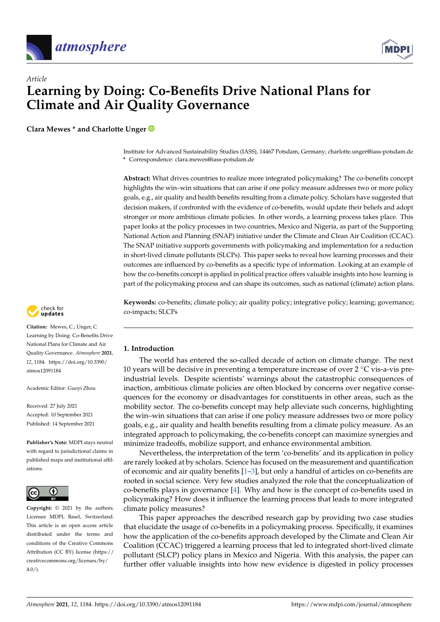

*Article*



# **Learning by Doing: Co-Benefits Drive National Plans for Climate and Air Quality Governance**

**Clara Mewes \* and Charlotte Unger**

Institute for Advanced Sustainability Studies (IASS), 14467 Potsdam, Germany; charlotte.unger@iass-potsdam.de **\*** Correspondence: clara.mewes@iass-potsdam.de

**Abstract:** What drives countries to realize more integrated policymaking? The co-benefits concept highlights the win–win situations that can arise if one policy measure addresses two or more policy goals, e.g., air quality and health benefits resulting from a climate policy. Scholars have suggested that decision makers, if confronted with the evidence of co-benefits, would update their beliefs and adopt stronger or more ambitious climate policies. In other words, a learning process takes place. This paper looks at the policy processes in two countries, Mexico and Nigeria, as part of the Supporting National Action and Planning (SNAP) initiative under the Climate and Clean Air Coalition (CCAC). The SNAP initiative supports governments with policymaking and implementation for a reduction in short-lived climate pollutants (SLCPs). This paper seeks to reveal how learning processes and their outcomes are influenced by co-benefits as a specific type of information. Looking at an example of how the co-benefits concept is applied in political practice offers valuable insights into how learning is part of the policymaking process and can shape its outcomes, such as national (climate) action plans.

**Keywords:** co-benefits; climate policy; air quality policy; integrative policy; learning; governance; co-impacts; SLCPs



**Citation:** Mewes, C.; Unger, C. Learning by Doing: Co-Benefits Drive National Plans for Climate and Air Quality Governance. *Atmosphere* **2021**, *12*, 1184. [https://doi.org/10.3390/](https://doi.org/10.3390/atmos12091184) [atmos12091184](https://doi.org/10.3390/atmos12091184)

Academic Editor: Guoyi Zhou

Received: 27 July 2021 Accepted: 10 September 2021 Published: 14 September 2021

**Publisher's Note:** MDPI stays neutral with regard to jurisdictional claims in published maps and institutional affiliations.



**Copyright:** © 2021 by the authors. Licensee MDPI, Basel, Switzerland. This article is an open access article distributed under the terms and conditions of the Creative Commons Attribution (CC BY) license (https:/[/](https://creativecommons.org/licenses/by/4.0/) [creativecommons.org/licenses/by/](https://creativecommons.org/licenses/by/4.0/) 4.0/).

### **1. Introduction**

The world has entered the so-called decade of action on climate change. The next 10 years will be decisive in preventing a temperature increase of over  $2 °C$  vis-a-vis preindustrial levels. Despite scientists' warnings about the catastrophic consequences of inaction, ambitious climate policies are often blocked by concerns over negative consequences for the economy or disadvantages for constituents in other areas, such as the mobility sector. The co-benefits concept may help alleviate such concerns, highlighting the win–win situations that can arise if one policy measure addresses two or more policy goals, e.g., air quality and health benefits resulting from a climate policy measure. As an integrated approach to policymaking, the co-benefits concept can maximize synergies and minimize tradeoffs, mobilize support, and enhance environmental ambition.

Nevertheless, the interpretation of the term 'co-benefits' and its application in policy are rarely looked at by scholars. Science has focused on the measurement and quantification of economic and air quality benefits [\[1–](#page-12-0)[3\]](#page-12-1), but only a handful of articles on co-benefits are rooted in social science. Very few studies analyzed the role that the conceptualization of co-benefits plays in governance [\[4\]](#page-12-2). Why and how is the concept of co-benefits used in policymaking? How does it influence the learning process that leads to more integrated climate policy measures?

This paper approaches the described research gap by providing two case studies that elucidate the usage of co-benefits in a policymaking process. Specifically, it examines how the application of the co-benefits approach developed by the Climate and Clean Air Coalition (CCAC) triggered a learning process that led to integrated short-lived climate pollutant (SLCP) policy plans in Mexico and Nigeria. With this analysis, the paper can further offer valuable insights into how new evidence is digested in policy processes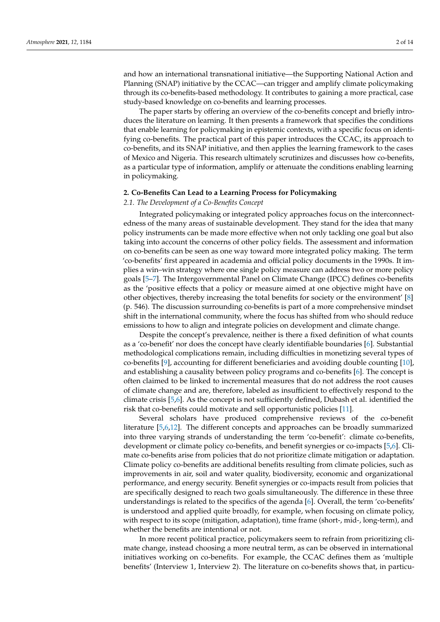and how an international transnational initiative—the Supporting National Action and Planning (SNAP) initiative by the CCAC—can trigger and amplify climate policymaking through its co-benefits-based methodology. It contributes to gaining a more practical, case study-based knowledge on co-benefits and learning processes.

The paper starts by offering an overview of the co-benefits concept and briefly introduces the literature on learning. It then presents a framework that specifies the conditions that enable learning for policymaking in epistemic contexts, with a specific focus on identifying co-benefits. The practical part of this paper introduces the CCAC, its approach to co-benefits, and its SNAP initiative, and then applies the learning framework to the cases of Mexico and Nigeria. This research ultimately scrutinizes and discusses how co-benefits, as a particular type of information, amplify or attenuate the conditions enabling learning in policymaking.

### **2. Co-Benefits Can Lead to a Learning Process for Policymaking**

#### *2.1. The Development of a Co-Benefits Concept*

Integrated policymaking or integrated policy approaches focus on the interconnectedness of the many areas of sustainable development. They stand for the idea that many policy instruments can be made more effective when not only tackling one goal but also taking into account the concerns of other policy fields. The assessment and information on co-benefits can be seen as one way toward more integrated policy making. The term 'co-benefits' first appeared in academia and official policy documents in the 1990s. It implies a win–win strategy where one single policy measure can address two or more policy goals [\[5–](#page-12-3)[7\]](#page-12-4). The Intergovernmental Panel on Climate Change (IPCC) defines co-benefits as the 'positive effects that a policy or measure aimed at one objective might have on other objectives, thereby increasing the total benefits for society or the environment' [\[8\]](#page-12-5) (p. 546). The discussion surrounding co-benefits is part of a more comprehensive mindset shift in the international community, where the focus has shifted from who should reduce emissions to how to align and integrate policies on development and climate change.

Despite the concept's prevalence, neither is there a fixed definition of what counts as a 'co-benefit' nor does the concept have clearly identifiable boundaries [\[6\]](#page-12-6). Substantial methodological complications remain, including difficulties in monetizing several types of co-benefits [\[9\]](#page-12-7), accounting for different beneficiaries and avoiding double counting [\[10\]](#page-12-8), and establishing a causality between policy programs and co-benefits [\[6\]](#page-12-6). The concept is often claimed to be linked to incremental measures that do not address the root causes of climate change and are, therefore, labeled as insufficient to effectively respond to the climate crisis [\[5](#page-12-3)[,6\]](#page-12-6). As the concept is not sufficiently defined, Dubash et al. identified the risk that co-benefits could motivate and sell opportunistic policies [\[11\]](#page-12-9).

Several scholars have produced comprehensive reviews of the co-benefit literature [\[5](#page-12-3)[,6](#page-12-6)[,12\]](#page-12-10). The different concepts and approaches can be broadly summarized into three varying strands of understanding the term 'co-benefit': climate co-benefits, development or climate policy co-benefits, and benefit synergies or co-impacts [\[5,](#page-12-3)[6\]](#page-12-6). Climate co-benefits arise from policies that do not prioritize climate mitigation or adaptation. Climate policy co-benefits are additional benefits resulting from climate policies, such as improvements in air, soil and water quality, biodiversity, economic and organizational performance, and energy security. Benefit synergies or co-impacts result from policies that are specifically designed to reach two goals simultaneously. The difference in these three understandings is related to the specifics of the agenda [\[6\]](#page-12-6). Overall, the term 'co-benefits' is understood and applied quite broadly, for example, when focusing on climate policy, with respect to its scope (mitigation, adaptation), time frame (short-, mid-, long-term), and whether the benefits are intentional or not.

In more recent political practice, policymakers seem to refrain from prioritizing climate change, instead choosing a more neutral term, as can be observed in international initiatives working on co-benefits. For example, the CCAC defines them as 'multiple benefits' (Interview 1, Interview 2). The literature on co-benefits shows that, in particu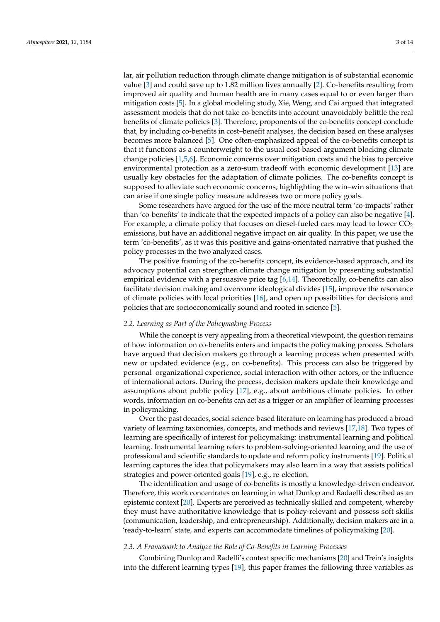lar, air pollution reduction through climate change mitigation is of substantial economic value [\[3\]](#page-12-1) and could save up to 1.82 million lives annually [\[2\]](#page-12-11). Co-benefits resulting from improved air quality and human health are in many cases equal to or even larger than mitigation costs [\[5\]](#page-12-3). In a global modeling study, Xie, Weng, and Cai argued that integrated assessment models that do not take co-benefits into account unavoidably belittle the real benefits of climate policies [\[3\]](#page-12-1). Therefore, proponents of the co-benefits concept conclude that, by including co-benefits in cost–benefit analyses, the decision based on these analyses becomes more balanced [\[5\]](#page-12-3). One often-emphasized appeal of the co-benefits concept is that it functions as a counterweight to the usual cost-based argument blocking climate change policies [\[1](#page-12-0)[,5](#page-12-3)[,6\]](#page-12-6). Economic concerns over mitigation costs and the bias to perceive environmental protection as a zero-sum tradeoff with economic development [\[13\]](#page-12-12) are usually key obstacles for the adaptation of climate policies. The co-benefits concept is supposed to alleviate such economic concerns, highlighting the win–win situations that can arise if one single policy measure addresses two or more policy goals.

Some researchers have argued for the use of the more neutral term 'co-impacts' rather than 'co-benefits' to indicate that the expected impacts of a policy can also be negative [\[4\]](#page-12-2). For example, a climate policy that focuses on diesel-fueled cars may lead to lower  $CO<sub>2</sub>$ emissions, but have an additional negative impact on air quality. In this paper, we use the term 'co-benefits', as it was this positive and gains-orientated narrative that pushed the policy processes in the two analyzed cases.

The positive framing of the co-benefits concept, its evidence-based approach, and its advocacy potential can strengthen climate change mitigation by presenting substantial empirical evidence with a persuasive price tag  $[6,14]$  $[6,14]$ . Theoretically, co-benefits can also facilitate decision making and overcome ideological divides [\[15\]](#page-12-14), improve the resonance of climate policies with local priorities [\[16\]](#page-12-15), and open up possibilities for decisions and policies that are socioeconomically sound and rooted in science [\[5\]](#page-12-3).

### *2.2. Learning as Part of the Policymaking Process*

While the concept is very appealing from a theoretical viewpoint, the question remains of how information on co-benefits enters and impacts the policymaking process. Scholars have argued that decision makers go through a learning process when presented with new or updated evidence (e.g., on co-benefits). This process can also be triggered by personal–organizational experience, social interaction with other actors, or the influence of international actors. During the process, decision makers update their knowledge and assumptions about public policy [\[17\]](#page-12-16), e.g., about ambitious climate policies. In other words, information on co-benefits can act as a trigger or an amplifier of learning processes in policymaking.

Over the past decades, social science-based literature on learning has produced a broad variety of learning taxonomies, concepts, and methods and reviews [\[17,](#page-12-16)[18\]](#page-12-17). Two types of learning are specifically of interest for policymaking: instrumental learning and political learning. Instrumental learning refers to problem-solving-oriented learning and the use of professional and scientific standards to update and reform policy instruments [\[19\]](#page-12-18). Political learning captures the idea that policymakers may also learn in a way that assists political strategies and power-oriented goals [\[19\]](#page-12-18), e.g., re-election.

The identification and usage of co-benefits is mostly a knowledge-driven endeavor. Therefore, this work concentrates on learning in what Dunlop and Radaelli described as an epistemic context [\[20\]](#page-12-19). Experts are perceived as technically skilled and competent, whereby they must have authoritative knowledge that is policy-relevant and possess soft skills (communication, leadership, and entrepreneurship). Additionally, decision makers are in a 'ready-to-learn' state, and experts can accommodate timelines of policymaking [\[20\]](#page-12-19).

### *2.3. A Framework to Analyze the Role of Co-Benefits in Learning Processes*

Combining Dunlop and Radelli's context specific mechanisms [\[20\]](#page-12-19) and Trein's insights into the different learning types [\[19\]](#page-12-18), this paper frames the following three variables as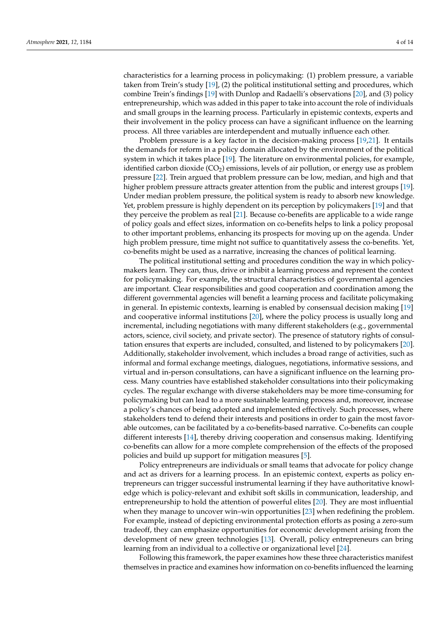characteristics for a learning process in policymaking: (1) problem pressure, a variable taken from Trein's study [\[19\]](#page-12-18), (2) the political institutional setting and procedures, which combine Trein's findings [\[19\]](#page-12-18) with Dunlop and Radaelli's observations [\[20\]](#page-12-19), and (3) policy entrepreneurship, which was added in this paper to take into account the role of individuals and small groups in the learning process. Particularly in epistemic contexts, experts and their involvement in the policy process can have a significant influence on the learning process. All three variables are interdependent and mutually influence each other.

Problem pressure is a key factor in the decision-making process [\[19,](#page-12-18)[21\]](#page-13-0). It entails the demands for reform in a policy domain allocated by the environment of the political system in which it takes place [\[19\]](#page-12-18). The literature on environmental policies, for example, identified carbon dioxide  $(CO<sub>2</sub>)$  emissions, levels of air pollution, or energy use as problem pressure [\[22\]](#page-13-1). Trein argued that problem pressure can be low, median, and high and that higher problem pressure attracts greater attention from the public and interest groups [\[19\]](#page-12-18). Under median problem pressure, the political system is ready to absorb new knowledge. Yet, problem pressure is highly dependent on its perception by policymakers [\[19\]](#page-12-18) and that they perceive the problem as real [\[21\]](#page-13-0). Because co-benefits are applicable to a wide range of policy goals and effect sizes, information on co-benefits helps to link a policy proposal to other important problems, enhancing its prospects for moving up on the agenda. Under high problem pressure, time might not suffice to quantitatively assess the co-benefits. Yet, co-benefits might be used as a narrative, increasing the chances of political learning.

The political institutional setting and procedures condition the way in which policymakers learn. They can, thus, drive or inhibit a learning process and represent the context for policymaking. For example, the structural characteristics of governmental agencies are important. Clear responsibilities and good cooperation and coordination among the different governmental agencies will benefit a learning process and facilitate policymaking in general. In epistemic contexts, learning is enabled by consensual decision making [\[19\]](#page-12-18) and cooperative informal institutions [\[20\]](#page-12-19), where the policy process is usually long and incremental, including negotiations with many different stakeholders (e.g., governmental actors, science, civil society, and private sector). The presence of statutory rights of consultation ensures that experts are included, consulted, and listened to by policymakers [\[20\]](#page-12-19). Additionally, stakeholder involvement, which includes a broad range of activities, such as informal and formal exchange meetings, dialogues, negotiations, informative sessions, and virtual and in-person consultations, can have a significant influence on the learning process. Many countries have established stakeholder consultations into their policymaking cycles. The regular exchange with diverse stakeholders may be more time-consuming for policymaking but can lead to a more sustainable learning process and, moreover, increase a policy's chances of being adopted and implemented effectively. Such processes, where stakeholders tend to defend their interests and positions in order to gain the most favorable outcomes, can be facilitated by a co-benefits-based narrative. Co-benefits can couple different interests [\[14\]](#page-12-13), thereby driving cooperation and consensus making. Identifying co-benefits can allow for a more complete comprehension of the effects of the proposed policies and build up support for mitigation measures [\[5\]](#page-12-3).

Policy entrepreneurs are individuals or small teams that advocate for policy change and act as drivers for a learning process. In an epistemic context, experts as policy entrepreneurs can trigger successful instrumental learning if they have authoritative knowledge which is policy-relevant and exhibit soft skills in communication, leadership, and entrepreneurship to hold the attention of powerful elites [\[20\]](#page-12-19). They are most influential when they manage to uncover win–win opportunities [\[23\]](#page-13-2) when redefining the problem. For example, instead of depicting environmental protection efforts as posing a zero-sum tradeoff, they can emphasize opportunities for economic development arising from the development of new green technologies [\[13\]](#page-12-12). Overall, policy entrepreneurs can bring learning from an individual to a collective or organizational level [\[24\]](#page-13-3).

Following this framework, the paper examines how these three characteristics manifest themselves in practice and examines how information on co-benefits influenced the learning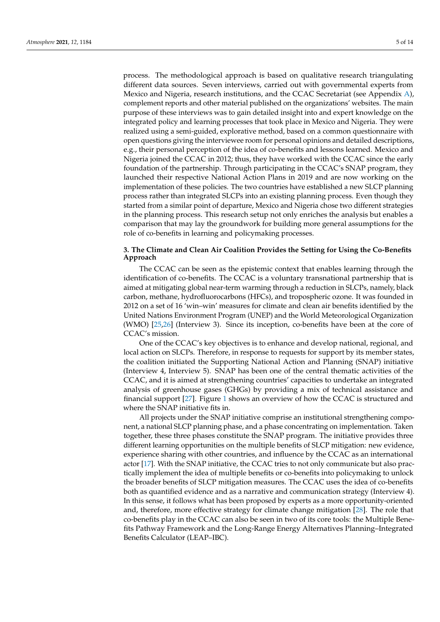process. The methodological approach is based on qualitative research triangulating different data sources. Seven interviews, carried out with governmental experts from Mexico and Nigeria, research institutions, and the CCAC Secretariat (see Appendix [A\)](#page-12-20), complement reports and other material published on the organizations' websites. The main purpose of these interviews was to gain detailed insight into and expert knowledge on the integrated policy and learning processes that took place in Mexico and Nigeria. They were realized using a semi-guided, explorative method, based on a common questionnaire with open questions giving the interviewee room for personal opinions and detailed descriptions, e.g., their personal perception of the idea of co-benefits and lessons learned. Mexico and Nigeria joined the CCAC in 2012; thus, they have worked with the CCAC since the early foundation of the partnership. Through participating in the CCAC's SNAP program, they launched their respective National Action Plans in 2019 and are now working on the implementation of these policies. The two countries have established a new SLCP planning process rather than integrated SLCPs into an existing planning process. Even though they started from a similar point of departure, Mexico and Nigeria chose two different strategies in the planning process. This research setup not only enriches the analysis but enables a comparison that may lay the groundwork for building more general assumptions for the role of co-benefits in learning and policymaking processes.

### **3. The Climate and Clean Air Coalition Provides the Setting for Using the Co-Benefits Approach**

The CCAC can be seen as the epistemic context that enables learning through the identification of co-benefits. The CCAC is a voluntary transnational partnership that is aimed at mitigating global near-term warming through a reduction in SLCPs, namely, black carbon, methane, hydrofluorocarbons (HFCs), and tropospheric ozone. It was founded in 2012 on a set of 16 'win–win' measures for climate and clean air benefits identified by the United Nations Environment Program (UNEP) and the World Meteorological Organization (WMO) [\[25](#page-13-4)[,26\]](#page-13-5) (Interview 3). Since its inception, co-benefits have been at the core of CCAC's mission.

One of the CCAC's key objectives is to enhance and develop national, regional, and local action on SLCPs. Therefore, in response to requests for support by its member states, the coalition initiated the Supporting National Action and Planning (SNAP) initiative (Interview 4, Interview 5). SNAP has been one of the central thematic activities of the CCAC, and it is aimed at strengthening countries' capacities to undertake an integrated analysis of greenhouse gases (GHGs) by providing a mix of technical assistance and financial support [\[27\]](#page-13-6). Figure [1](#page-5-0) shows an overview of how the CCAC is structured and where the SNAP initiative fits in.

All projects under the SNAP initiative comprise an institutional strengthening component, a national SLCP planning phase, and a phase concentrating on implementation. Taken together, these three phases constitute the SNAP program. The initiative provides three different learning opportunities on the multiple benefits of SLCP mitigation: new evidence, experience sharing with other countries, and influence by the CCAC as an international actor [\[17\]](#page-12-16). With the SNAP initiative, the CCAC tries to not only communicate but also practically implement the idea of multiple benefits or co-benefits into policymaking to unlock the broader benefits of SLCP mitigation measures. The CCAC uses the idea of co-benefits both as quantified evidence and as a narrative and communication strategy (Interview 4). In this sense, it follows what has been proposed by experts as a more opportunity-oriented and, therefore, more effective strategy for climate change mitigation [\[28\]](#page-13-7). The role that co-benefits play in the CCAC can also be seen in two of its core tools: the Multiple Benefits Pathway Framework and the Long-Range Energy Alternatives Planning–Integrated Benefits Calculator (LEAP–IBC).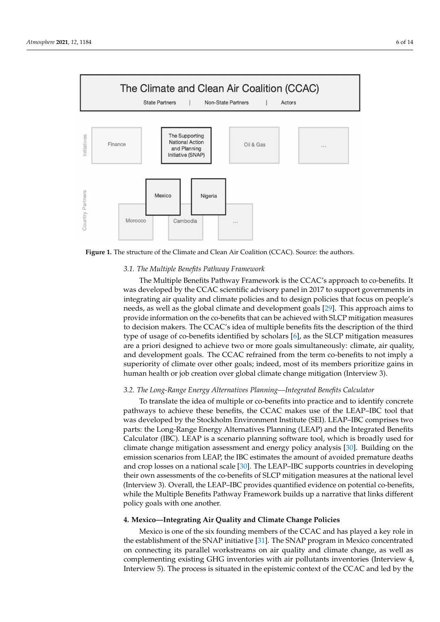<span id="page-5-0"></span>

**Figure 1.** The structure of the Climate and Clean Air Coalition (CCAC). Source: the authors. **Figure 1.** The structure of the Climate and Clean Air Coalition (CCAC). Source: the authors.

## All projects under the SNAP initiative comprise an institutional strengthening com-*3.1. The Multiple Benefits Pathway Framework*

The Multiple Benefits Pathway Framework is the CCAC's approach to co-benefits. It was developed by the CCAC scientific advisory panel in 2017 to support governments in integrating air quality and climate policies and to design policies that focus on people's needs, as well as the global climate and development goals [\[29\]](#page-13-8). This approach aims to provide information on the co-benefits that can be achieved with SLCP mitigation measures to decision makers. The CCAC's idea of multiple benefits fits the description of the third type of usage of co-benefits identified by scholars  $[6]$ , as the SLCP mitigation measures are a priori designed to achieve two or more goals simultaneously: climate, air quality, and development goals. The CCAC refrained from the term co-benefits to not imply a superiority of climate over other goals; indeed, most of its members prioritize gains in human health or job creation over global climate change mitigation (Interview 3).

### the Multiple Benefits Pathway Framework and the Long-Range Energy Alternatives Plan-*3.2. The Long-Range Energy Alternatives Planning—Integrated Benefits Calculator*  $\overline{E}$  is comparable benefits  $\overline{E}$

pathways to achieve these benefits, the CCAC makes use of the LEAP–IBC tool that The Multiple Benefits Pathway Framework is the Co-benefits.<br>Parts: the Long-Range Energy Alternatives Planning (LEAP) and the Integrated Benefits parts are Long range Linegy running to support governments in 2017 to support a choice of the Calculator (IBC). LEAP is a scenario planning software tool, which is broadly used for climate change mitigation assessment and energy policy analysis [\[30\]](#page-13-9). Building on the emission scenarios from LEAP, the IBC estimates the amount of avoided premature deaths and crop losses on a national scale [\[30\]](#page-13-9). The LEAP–IBC supports countries in developing their own assessments of the co-benefits of SLCP mitigation measures at the national level (Interview 3). Overall, the LEAP–IBC provides quantified evidence on potential co-benefits, while the Multiple Benefits Pathway Framework builds up a narrative that links different policy goals with one another. imply a superiority of climate over other goals; indeed, most of its members prioritized, most of its members  $p$ To translate the idea of multiple or co-benefits into practice and to identify concrete was developed by the Stockholm Environment Institute (SEI). LEAP–IBC comprises two

### gains in human health or job creation over global climate change mitigation (Interview 3). **4. Mexico—Integrating Air Quality and Climate Change Policies**

the establishment of the SNAP initiative [\[31\]](#page-13-10). The SNAP program in Mexico concentrated on connecting its parallel workstreams on air quality and climate change, as well as complementing existing GHG inventories with air pollutants inventories (Interview 4, Interview 5). The process is situated in the epistemic context of the CCAC and led by the Mexico is one of the six founding members of the CCAC and has played a key role in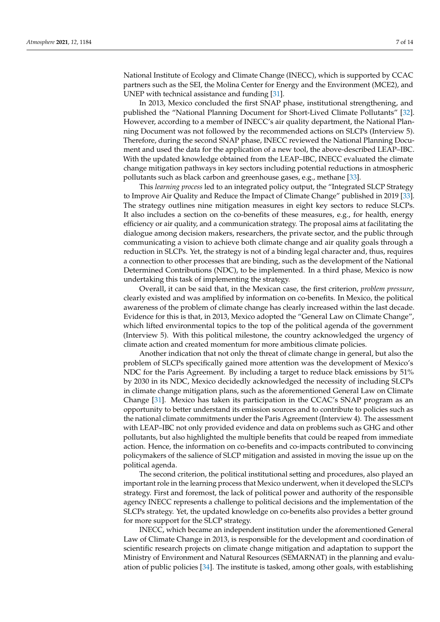National Institute of Ecology and Climate Change (INECC), which is supported by CCAC partners such as the SEI, the Molina Center for Energy and the Environment (MCE2), and UNEP with technical assistance and funding [\[31\]](#page-13-10).

In 2013, Mexico concluded the first SNAP phase, institutional strengthening, and published the "National Planning Document for Short-Lived Climate Pollutants" [\[32\]](#page-13-11). However, according to a member of INECC's air quality department, the National Planning Document was not followed by the recommended actions on SLCPs (Interview 5). Therefore, during the second SNAP phase, INECC reviewed the National Planning Document and used the data for the application of a new tool, the above-described LEAP–IBC. With the updated knowledge obtained from the LEAP–IBC, INECC evaluated the climate change mitigation pathways in key sectors including potential reductions in atmospheric pollutants such as black carbon and greenhouse gases, e.g., methane [\[33\]](#page-13-12).

This *learning process* led to an integrated policy output, the "Integrated SLCP Strategy to Improve Air Quality and Reduce the Impact of Climate Change" published in 2019 [\[33\]](#page-13-12). The strategy outlines nine mitigation measures in eight key sectors to reduce SLCPs. It also includes a section on the co-benefits of these measures, e.g., for health, energy efficiency or air quality, and a communication strategy. The proposal aims at facilitating the dialogue among decision makers, researchers, the private sector, and the public through communicating a vision to achieve both climate change and air quality goals through a reduction in SLCPs. Yet, the strategy is not of a binding legal character and, thus, requires a connection to other processes that are binding, such as the development of the National Determined Contributions (NDC), to be implemented. In a third phase, Mexico is now undertaking this task of implementing the strategy.

Overall, it can be said that, in the Mexican case, the first criterion, *problem pressure*, clearly existed and was amplified by information on co-benefits. In Mexico, the political awareness of the problem of climate change has clearly increased within the last decade. Evidence for this is that, in 2013, Mexico adopted the "General Law on Climate Change", which lifted environmental topics to the top of the political agenda of the government (Interview 5). With this political milestone, the country acknowledged the urgency of climate action and created momentum for more ambitious climate policies.

Another indication that not only the threat of climate change in general, but also the problem of SLCPs specifically gained more attention was the development of Mexico's NDC for the Paris Agreement. By including a target to reduce black emissions by 51% by 2030 in its NDC, Mexico decidedly acknowledged the necessity of including SLCPs in climate change mitigation plans, such as the aforementioned General Law on Climate Change [\[31\]](#page-13-10). Mexico has taken its participation in the CCAC's SNAP program as an opportunity to better understand its emission sources and to contribute to policies such as the national climate commitments under the Paris Agreement (Interview 4). The assessment with LEAP–IBC not only provided evidence and data on problems such as GHG and other pollutants, but also highlighted the multiple benefits that could be reaped from immediate action. Hence, the information on co-benefits and co-impacts contributed to convincing policymakers of the salience of SLCP mitigation and assisted in moving the issue up on the political agenda.

The second criterion, the political institutional setting and procedures, also played an important role in the learning process that Mexico underwent, when it developed the SLCPs strategy. First and foremost, the lack of political power and authority of the responsible agency INECC represents a challenge to political decisions and the implementation of the SLCPs strategy. Yet, the updated knowledge on co-benefits also provides a better ground for more support for the SLCP strategy.

INECC, which became an independent institution under the aforementioned General Law of Climate Change in 2013, is responsible for the development and coordination of scientific research projects on climate change mitigation and adaptation to support the Ministry of Environment and Natural Resources (SEMARNAT) in the planning and evaluation of public policies [\[34\]](#page-13-13). The institute is tasked, among other goals, with establishing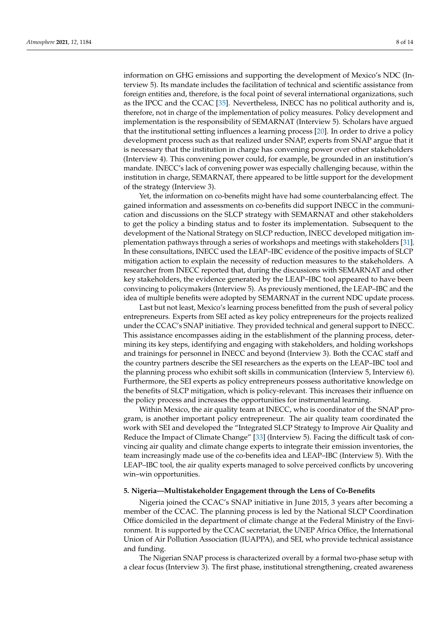information on GHG emissions and supporting the development of Mexico's NDC (Interview 5). Its mandate includes the facilitation of technical and scientific assistance from foreign entities and, therefore, is the focal point of several international organizations, such as the IPCC and the CCAC [\[35\]](#page-13-14). Nevertheless, INECC has no political authority and is, therefore, not in charge of the implementation of policy measures. Policy development and implementation is the responsibility of SEMARNAT (Interview 5). Scholars have argued that the institutional setting influences a learning process [\[20\]](#page-12-19). In order to drive a policy development process such as that realized under SNAP, experts from SNAP argue that it is necessary that the institution in charge has convening power over other stakeholders (Interview 4). This convening power could, for example, be grounded in an institution's mandate. INECC's lack of convening power was especially challenging because, within the institution in charge, SEMARNAT, there appeared to be little support for the development of the strategy (Interview 3).

Yet, the information on co-benefits might have had some counterbalancing effect. The gained information and assessments on co-benefits did support INECC in the communication and discussions on the SLCP strategy with SEMARNAT and other stakeholders to get the policy a binding status and to foster its implementation. Subsequent to the development of the National Strategy on SLCP reduction, INECC developed mitigation implementation pathways through a series of workshops and meetings with stakeholders [\[31\]](#page-13-10). In these consultations, INECC used the LEAP–IBC evidence of the positive impacts of SLCP mitigation action to explain the necessity of reduction measures to the stakeholders. A researcher from INECC reported that, during the discussions with SEMARNAT and other key stakeholders, the evidence generated by the LEAP–IBC tool appeared to have been convincing to policymakers (Interview 5). As previously mentioned, the LEAP–IBC and the idea of multiple benefits were adopted by SEMARNAT in the current NDC update process.

Last but not least, Mexico's learning process benefitted from the push of several policy entrepreneurs. Experts from SEI acted as key policy entrepreneurs for the projects realized under the CCAC's SNAP initiative. They provided technical and general support to INECC. This assistance encompasses aiding in the establishment of the planning process, determining its key steps, identifying and engaging with stakeholders, and holding workshops and trainings for personnel in INECC and beyond (Interview 3). Both the CCAC staff and the country partners describe the SEI researchers as the experts on the LEAP–IBC tool and the planning process who exhibit soft skills in communication (Interview 5, Interview 6). Furthermore, the SEI experts as policy entrepreneurs possess authoritative knowledge on the benefits of SLCP mitigation, which is policy-relevant. This increases their influence on the policy process and increases the opportunities for instrumental learning.

Within Mexico, the air quality team at INECC, who is coordinator of the SNAP program, is another important policy entrepreneur. The air quality team coordinated the work with SEI and developed the "Integrated SLCP Strategy to Improve Air Quality and Reduce the Impact of Climate Change" [\[33\]](#page-13-12) (Interview 5). Facing the difficult task of convincing air quality and climate change experts to integrate their emission inventories, the team increasingly made use of the co-benefits idea and LEAP–IBC (Interview 5). With the LEAP–IBC tool, the air quality experts managed to solve perceived conflicts by uncovering win–win opportunities.

### **5. Nigeria—Multistakeholder Engagement through the Lens of Co-Benefits**

Nigeria joined the CCAC's SNAP initiative in June 2015, 3 years after becoming a member of the CCAC. The planning process is led by the National SLCP Coordination Office domiciled in the department of climate change at the Federal Ministry of the Environment. It is supported by the CCAC secretariat, the UNEP Africa Office, the International Union of Air Pollution Association (IUAPPA), and SEI, who provide technical assistance and funding.

The Nigerian SNAP process is characterized overall by a formal two-phase setup with a clear focus (Interview 3). The first phase, institutional strengthening, created awareness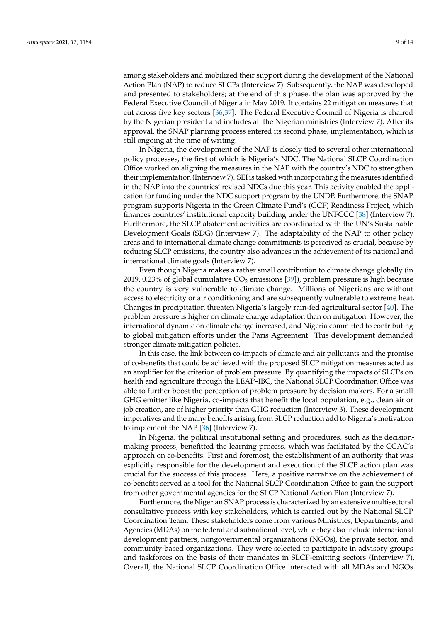among stakeholders and mobilized their support during the development of the National Action Plan (NAP) to reduce SLCPs (Interview 7). Subsequently, the NAP was developed and presented to stakeholders; at the end of this phase, the plan was approved by the Federal Executive Council of Nigeria in May 2019. It contains 22 mitigation measures that cut across five key sectors [\[36](#page-13-15)[,37\]](#page-13-16). The Federal Executive Council of Nigeria is chaired by the Nigerian president and includes all the Nigerian ministries (Interview 7). After its approval, the SNAP planning process entered its second phase, implementation, which is still ongoing at the time of writing.

In Nigeria, the development of the NAP is closely tied to several other international policy processes, the first of which is Nigeria's NDC. The National SLCP Coordination Office worked on aligning the measures in the NAP with the country's NDC to strengthen their implementation (Interview 7). SEI is tasked with incorporating the measures identified in the NAP into the countries' revised NDCs due this year. This activity enabled the application for funding under the NDC support program by the UNDP. Furthermore, the SNAP program supports Nigeria in the Green Climate Fund's (GCF) Readiness Project, which finances countries' institutional capacity building under the UNFCCC [\[38\]](#page-13-17) (Interview 7). Furthermore, the SLCP abatement activities are coordinated with the UN's Sustainable Development Goals (SDG) (Interview 7). The adaptability of the NAP to other policy areas and to international climate change commitments is perceived as crucial, because by reducing SLCP emissions, the country also advances in the achievement of its national and international climate goals (Interview 7).

Even though Nigeria makes a rather small contribution to climate change globally (in 2019, 0.23% of global cumulative  $CO<sub>2</sub>$  emissions [\[39\]](#page-13-18)), problem pressure is high because the country is very vulnerable to climate change. Millions of Nigerians are without access to electricity or air conditioning and are subsequently vulnerable to extreme heat. Changes in precipitation threaten Nigeria's largely rain-fed agricultural sector [\[40\]](#page-13-19). The problem pressure is higher on climate change adaptation than on mitigation. However, the international dynamic on climate change increased, and Nigeria committed to contributing to global mitigation efforts under the Paris Agreement. This development demanded stronger climate mitigation policies.

In this case, the link between co-impacts of climate and air pollutants and the promise of co-benefits that could be achieved with the proposed SLCP mitigation measures acted as an amplifier for the criterion of problem pressure. By quantifying the impacts of SLCPs on health and agriculture through the LEAP–IBC, the National SLCP Coordination Office was able to further boost the perception of problem pressure by decision makers. For a small GHG emitter like Nigeria, co-impacts that benefit the local population, e.g., clean air or job creation, are of higher priority than GHG reduction (Interview 3). These development imperatives and the many benefits arising from SLCP reduction add to Nigeria's motivation to implement the NAP [\[36\]](#page-13-15) (Interview 7).

In Nigeria, the political institutional setting and procedures, such as the decisionmaking process, benefitted the learning process, which was facilitated by the CCAC's approach on co-benefits. First and foremost, the establishment of an authority that was explicitly responsible for the development and execution of the SLCP action plan was crucial for the success of this process. Here, a positive narrative on the achievement of co-benefits served as a tool for the National SLCP Coordination Office to gain the support from other governmental agencies for the SLCP National Action Plan (Interview 7).

Furthermore, the Nigerian SNAP process is characterized by an extensive multisectoral consultative process with key stakeholders, which is carried out by the National SLCP Coordination Team. These stakeholders come from various Ministries, Departments, and Agencies (MDAs) on the federal and subnational level, while they also include international development partners, nongovernmental organizations (NGOs), the private sector, and community-based organizations. They were selected to participate in advisory groups and taskforces on the basis of their mandates in SLCP-emitting sectors (Interview 7). Overall, the National SLCP Coordination Office interacted with all MDAs and NGOs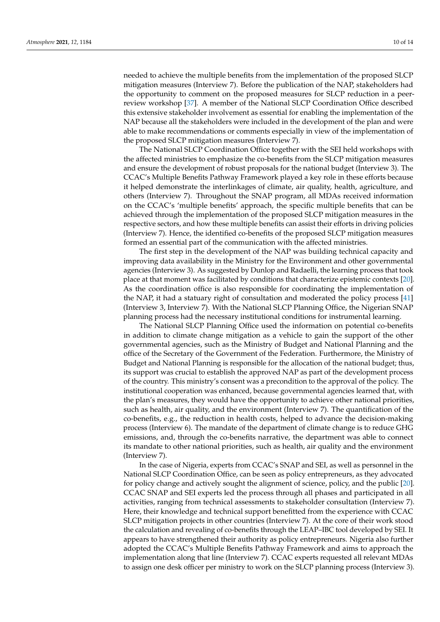needed to achieve the multiple benefits from the implementation of the proposed SLCP mitigation measures (Interview 7). Before the publication of the NAP, stakeholders had the opportunity to comment on the proposed measures for SLCP reduction in a peerreview workshop [\[37\]](#page-13-16). A member of the National SLCP Coordination Office described this extensive stakeholder involvement as essential for enabling the implementation of the NAP because all the stakeholders were included in the development of the plan and were able to make recommendations or comments especially in view of the implementation of the proposed SLCP mitigation measures (Interview 7).

The National SLCP Coordination Office together with the SEI held workshops with the affected ministries to emphasize the co-benefits from the SLCP mitigation measures and ensure the development of robust proposals for the national budget (Interview 3). The CCAC's Multiple Benefits Pathway Framework played a key role in these efforts because it helped demonstrate the interlinkages of climate, air quality, health, agriculture, and others (Interview 7). Throughout the SNAP program, all MDAs received information on the CCAC's 'multiple benefits' approach, the specific multiple benefits that can be achieved through the implementation of the proposed SLCP mitigation measures in the respective sectors, and how these multiple benefits can assist their efforts in driving policies (Interview 7). Hence, the identified co-benefits of the proposed SLCP mitigation measures formed an essential part of the communication with the affected ministries.

The first step in the development of the NAP was building technical capacity and improving data availability in the Ministry for the Environment and other governmental agencies (Interview 3). As suggested by Dunlop and Radaelli, the learning process that took place at that moment was facilitated by conditions that characterize epistemic contexts [\[20\]](#page-12-19). As the coordination office is also responsible for coordinating the implementation of the NAP, it had a statuary right of consultation and moderated the policy process [\[41\]](#page-13-20) (Interview 3, Interview 7). With the National SLCP Planning Office, the Nigerian SNAP planning process had the necessary institutional conditions for instrumental learning.

The National SLCP Planning Office used the information on potential co-benefits in addition to climate change mitigation as a vehicle to gain the support of the other governmental agencies, such as the Ministry of Budget and National Planning and the office of the Secretary of the Government of the Federation. Furthermore, the Ministry of Budget and National Planning is responsible for the allocation of the national budget; thus, its support was crucial to establish the approved NAP as part of the development process of the country. This ministry's consent was a precondition to the approval of the policy. The institutional cooperation was enhanced, because governmental agencies learned that, with the plan's measures, they would have the opportunity to achieve other national priorities, such as health, air quality, and the environment (Interview 7). The quantification of the co-benefits, e.g., the reduction in health costs, helped to advance the decision-making process (Interview 6). The mandate of the department of climate change is to reduce GHG emissions, and, through the co-benefits narrative, the department was able to connect its mandate to other national priorities, such as health, air quality and the environment (Interview 7).

In the case of Nigeria, experts from CCAC's SNAP and SEI, as well as personnel in the National SLCP Coordination Office, can be seen as policy entrepreneurs, as they advocated for policy change and actively sought the alignment of science, policy, and the public [\[20\]](#page-12-19). CCAC SNAP and SEI experts led the process through all phases and participated in all activities, ranging from technical assessments to stakeholder consultation (Interview 7). Here, their knowledge and technical support benefitted from the experience with CCAC SLCP mitigation projects in other countries (Interview 7). At the core of their work stood the calculation and revealing of co-benefits through the LEAP–IBC tool developed by SEI. It appears to have strengthened their authority as policy entrepreneurs. Nigeria also further adopted the CCAC's Multiple Benefits Pathway Framework and aims to approach the implementation along that line (Interview 7). CCAC experts requested all relevant MDAs to assign one desk officer per ministry to work on the SLCP planning process (Interview 3).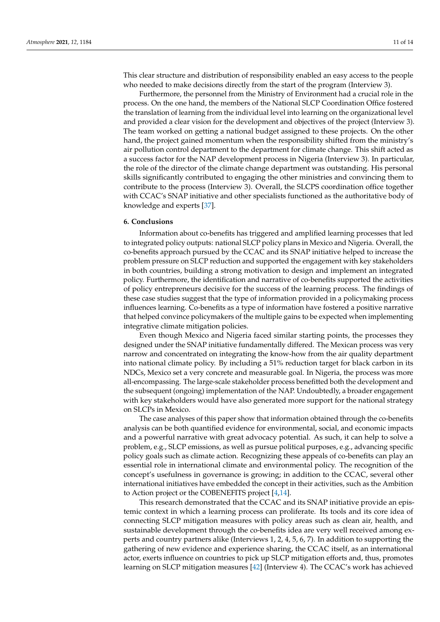This clear structure and distribution of responsibility enabled an easy access to the people who needed to make decisions directly from the start of the program (Interview 3).

Furthermore, the personnel from the Ministry of Environment had a crucial role in the process. On the one hand, the members of the National SLCP Coordination Office fostered the translation of learning from the individual level into learning on the organizational level and provided a clear vision for the development and objectives of the project (Interview 3). The team worked on getting a national budget assigned to these projects. On the other hand, the project gained momentum when the responsibility shifted from the ministry's air pollution control department to the department for climate change. This shift acted as a success factor for the NAP development process in Nigeria (Interview 3). In particular, the role of the director of the climate change department was outstanding. His personal skills significantly contributed to engaging the other ministries and convincing them to contribute to the process (Interview 3). Overall, the SLCPS coordination office together with CCAC's SNAP initiative and other specialists functioned as the authoritative body of knowledge and experts [\[37\]](#page-13-16).

### **6. Conclusions**

Information about co-benefits has triggered and amplified learning processes that led to integrated policy outputs: national SLCP policy plans in Mexico and Nigeria. Overall, the co-benefits approach pursued by the CCAC and its SNAP initiative helped to increase the problem pressure on SLCP reduction and supported the engagement with key stakeholders in both countries, building a strong motivation to design and implement an integrated policy. Furthermore, the identification and narrative of co-benefits supported the activities of policy entrepreneurs decisive for the success of the learning process. The findings of these case studies suggest that the type of information provided in a policymaking process influences learning. Co-benefits as a type of information have fostered a positive narrative that helped convince policymakers of the multiple gains to be expected when implementing integrative climate mitigation policies.

Even though Mexico and Nigeria faced similar starting points, the processes they designed under the SNAP initiative fundamentally differed. The Mexican process was very narrow and concentrated on integrating the know-how from the air quality department into national climate policy. By including a 51% reduction target for black carbon in its NDCs, Mexico set a very concrete and measurable goal. In Nigeria, the process was more all-encompassing. The large-scale stakeholder process benefitted both the development and the subsequent (ongoing) implementation of the NAP. Undoubtedly, a broader engagement with key stakeholders would have also generated more support for the national strategy on SLCPs in Mexico.

The case analyses of this paper show that information obtained through the co-benefits analysis can be both quantified evidence for environmental, social, and economic impacts and a powerful narrative with great advocacy potential. As such, it can help to solve a problem, e.g., SLCP emissions, as well as pursue political purposes, e.g., advancing specific policy goals such as climate action. Recognizing these appeals of co-benefits can play an essential role in international climate and environmental policy. The recognition of the concept's usefulness in governance is growing; in addition to the CCAC, several other international initiatives have embedded the concept in their activities, such as the Ambition to Action project or the COBENEFITS project [\[4,](#page-12-2)[14\]](#page-12-13).

This research demonstrated that the CCAC and its SNAP initiative provide an epistemic context in which a learning process can proliferate. Its tools and its core idea of connecting SLCP mitigation measures with policy areas such as clean air, health, and sustainable development through the co-benefits idea are very well received among experts and country partners alike (Interviews 1, 2, 4, 5, 6, 7). In addition to supporting the gathering of new evidence and experience sharing, the CCAC itself, as an international actor, exerts influence on countries to pick up SLCP mitigation efforts and, thus, promotes learning on SLCP mitigation measures [\[42\]](#page-13-21) (Interview 4). The CCAC's work has achieved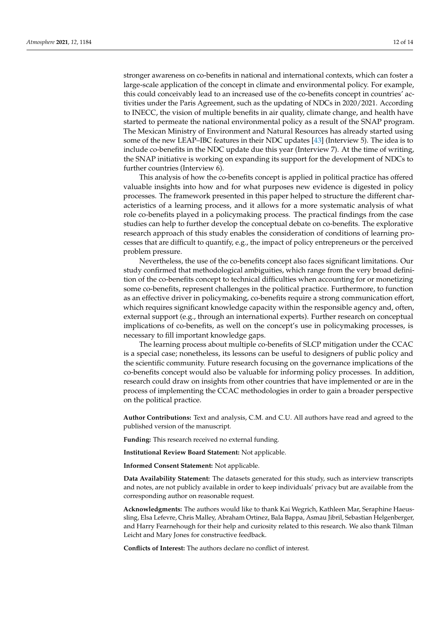stronger awareness on co-benefits in national and international contexts, which can foster a large-scale application of the concept in climate and environmental policy. For example, this could conceivably lead to an increased use of the co-benefits concept in countries' activities under the Paris Agreement, such as the updating of NDCs in 2020/2021. According to INECC, the vision of multiple benefits in air quality, climate change, and health have started to permeate the national environmental policy as a result of the SNAP program. The Mexican Ministry of Environment and Natural Resources has already started using some of the new LEAP–IBC features in their NDC updates [\[43\]](#page-13-22) (Interview 5). The idea is to include co-benefits in the NDC update due this year (Interview 7). At the time of writing, the SNAP initiative is working on expanding its support for the development of NDCs to further countries (Interview 6).

This analysis of how the co-benefits concept is applied in political practice has offered valuable insights into how and for what purposes new evidence is digested in policy processes. The framework presented in this paper helped to structure the different characteristics of a learning process, and it allows for a more systematic analysis of what role co-benefits played in a policymaking process. The practical findings from the case studies can help to further develop the conceptual debate on co-benefits. The explorative research approach of this study enables the consideration of conditions of learning processes that are difficult to quantify, e.g., the impact of policy entrepreneurs or the perceived problem pressure.

Nevertheless, the use of the co-benefits concept also faces significant limitations. Our study confirmed that methodological ambiguities, which range from the very broad definition of the co-benefits concept to technical difficulties when accounting for or monetizing some co-benefits, represent challenges in the political practice. Furthermore, to function as an effective driver in policymaking, co-benefits require a strong communication effort, which requires significant knowledge capacity within the responsible agency and, often, external support (e.g., through an international experts). Further research on conceptual implications of co-benefits, as well on the concept's use in policymaking processes, is necessary to fill important knowledge gaps.

The learning process about multiple co-benefits of SLCP mitigation under the CCAC is a special case; nonetheless, its lessons can be useful to designers of public policy and the scientific community. Future research focusing on the governance implications of the co-benefits concept would also be valuable for informing policy processes. In addition, research could draw on insights from other countries that have implemented or are in the process of implementing the CCAC methodologies in order to gain a broader perspective on the political practice.

**Author Contributions:** Text and analysis, C.M. and C.U. All authors have read and agreed to the published version of the manuscript.

**Funding:** This research received no external funding.

**Institutional Review Board Statement:** Not applicable.

**Informed Consent Statement:** Not applicable.

**Data Availability Statement:** The datasets generated for this study, such as interview transcripts and notes, are not publicly available in order to keep individuals' privacy but are available from the corresponding author on reasonable request.

**Acknowledgments:** The authors would like to thank Kai Wegrich, Kathleen Mar, Seraphine Haeussling, Elsa Lefevre, Chris Malley, Abraham Ortinez, Bala Bappa, Asmau Jibril, Sebastian Helgenberger, and Harry Fearnehough for their help and curiosity related to this research. We also thank Tilman Leicht and Mary Jones for constructive feedback.

**Conflicts of Interest:** The authors declare no conflict of interest.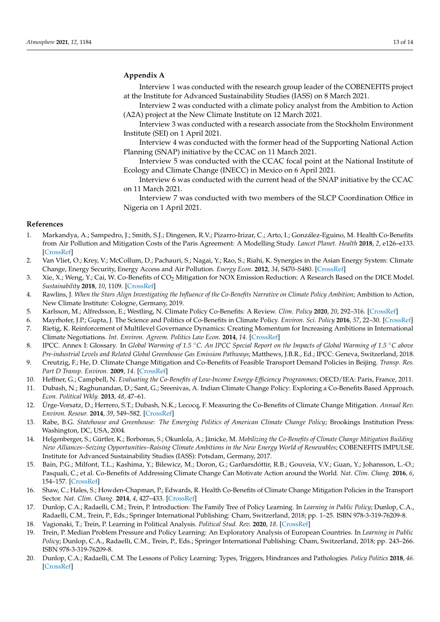### <span id="page-12-20"></span>**Appendix A**

Interview 1 was conducted with the research group leader of the COBENEFITS project at the Institute for Advanced Sustainability Studies (IASS) on 8 March 2021.

Interview 2 was conducted with a climate policy analyst from the Ambition to Action (A2A) project at the New Climate Institute on 12 March 2021.

Interview 3 was conducted with a research associate from the Stockholm Environment Institute (SEI) on 1 April 2021.

Interview 4 was conducted with the former head of the Supporting National Action Planning (SNAP) initiative by the CCAC on 11 March 2021.

Interview 5 was conducted with the CCAC focal point at the National Institute of Ecology and Climate Change (INECC) in Mexico on 6 April 2021.

Interview 6 was conducted with the current head of the SNAP initiative by the CCAC on 11 March 2021.

Interview 7 was conducted with two members of the SLCP Coordination Office in Nigeria on 1 April 2021.

### **References**

- <span id="page-12-0"></span>1. Markandya, A.; Sampedro, J.; Smith, S.J.; Dingenen, R.V.; Pizarro-Irizar, C.; Arto, I.; González-Eguino, M. Health Co-Benefits from Air Pollution and Mitigation Costs of the Paris Agreement: A Modelling Study. *Lancet Planet. Health* **2018**, *2*, e126–e133. [\[CrossRef\]](http://doi.org/10.1016/S2542-5196(18)30029-9)
- <span id="page-12-11"></span>2. Van Vliet, O.; Krey, V.; McCollum, D.; Pachauri, S.; Nagai, Y.; Rao, S.; Riahi, K. Synergies in the Asian Energy System: Climate Change, Energy Security, Energy Access and Air Pollution. *Energy Econ.* **2012**, *34*, S470–S480. [\[CrossRef\]](http://doi.org/10.1016/j.eneco.2012.02.001)
- <span id="page-12-1"></span>3. Xie, X.; Weng, Y.; Cai, W. Co-Benefits of CO<sub>2</sub> Mitigation for NOX Emission Reduction: A Research Based on the DICE Model. *Sustainability* **2018**, *10*, 1109. [\[CrossRef\]](http://doi.org/10.3390/su10041109)
- <span id="page-12-2"></span>4. Rawlins, J. *When the Stars Align Investigating the Influence of the Co-Benefits Narrative on Climate Policy Ambition*; Ambition to Action, New Climate Institute: Cologne, Germany, 2019.
- <span id="page-12-3"></span>5. Karlsson, M.; Alfredsson, E.; Westling, N. Climate Policy Co-Benefits: A Review. *Clim. Policy* **2020**, *20*, 292–316. [\[CrossRef\]](http://doi.org/10.1080/14693062.2020.1724070)
- <span id="page-12-6"></span><span id="page-12-4"></span>6. Mayrhofer, J.P.; Gupta, J. The Science and Politics of Co-Benefits in Climate Policy. *Environ. Sci. Policy* **2016**, *57*, 22–30. [\[CrossRef\]](http://doi.org/10.1016/j.envsci.2015.11.005) 7. Rietig, K. Reinforcement of Multilevel Governance Dynamics: Creating Momentum for Increasing Ambitions in International Climate Negotiations. *Int. Environ. Agreem. Politics Law Econ.* **2014**, *14*. [\[CrossRef\]](http://doi.org/10.1007/s10784-014-9239-4)
- <span id="page-12-5"></span>8. IPCC. Annex I: Glossary. In *Global Warming of 1.5* ◦*C. An IPCC Special Report on the Impacts of Global Warming of 1.5* ◦*C above Pre-industrial Levels and Related Global Greenhouse Gas Emission Pathways*; Matthews, J.B.R., Ed.; IPCC: Geneva, Switzerland, 2018.
- <span id="page-12-7"></span>9. Creutzig, F.; He, D. Climate Change Mitigation and Co-Benefits of Feasible Transport Demand Policies in Beijing. *Transp. Res. Part D Transp. Environ.* **2009**, *14*. [\[CrossRef\]](http://doi.org/10.1016/j.trd.2008.11.007)
- <span id="page-12-8"></span>10. Heffner, G.; Campbell, N. *Evaluating the Co-Benefits of Low-Income Energy-Efficiency Programmes*; OECD/IEA: Paris, France, 2011.
- <span id="page-12-9"></span>11. Dubash, N.; Raghunandan, D.; Sant, G.; Sreenivas, A. Indian Climate Change Policy: Exploring a Co-Benefits Based Approach. *Econ. Political Wkly.* **2013**, *48*, 47–61.
- <span id="page-12-10"></span>12. Ürge-Vorsatz, D.; Herrero, S.T.; Dubash, N.K.; Lecocq, F. Measuring the Co-Benefits of Climate Change Mitigation. *Annual Rev. Environ. Resour.* **2014**, *39*, 549–582. [\[CrossRef\]](http://doi.org/10.1146/annurev-environ-031312-125456)
- <span id="page-12-12"></span>13. Rabe, B.G. *Statehouse and Greenhouse: The Emerging Politics of American Climate Change Policy*; Brookings Institution Press: Washington, DC, USA, 2004.
- <span id="page-12-13"></span>14. Helgenberger, S.; Gürtler, K.; Borbonus, S.; Okunlola, A.; Jänicke, M. *Mobilizing the Co-Benefits of Climate Change Mitigation Building New Alliances–Seizing Opportunities–Raising Climate Ambitions in the New Energy World of Renewables*; COBENEFITS IMPULSE. Institute for Advanced Sustainability Studies (IASS): Potsdam, Germany, 2017.
- <span id="page-12-14"></span>15. Bain, P.G.; Milfont, T.L.; Kashima, Y.; Bilewicz, M.; Doron, G.; Garðarsdóttir, R.B.; Gouveia, V.V.; Guan, Y.; Johansson, L.-O.; Pasquali, C.; et al. Co-Benefits of Addressing Climate Change Can Motivate Action around the World. *Nat. Clim. Chang.* **2016**, *6*, 154–157. [\[CrossRef\]](http://doi.org/10.1038/nclimate2814)
- <span id="page-12-15"></span>16. Shaw, C.; Hales, S.; Howden-Chapman, P.; Edwards, R. Health Co-Benefits of Climate Change Mitigation Policies in the Transport Sector. *Nat. Clim. Chang.* **2014**, *4*, 427–433. [\[CrossRef\]](http://doi.org/10.1038/nclimate2247)
- <span id="page-12-16"></span>17. Dunlop, C.A.; Radaelli, C.M.; Trein, P. Introduction: The Family Tree of Policy Learning. In *Learning in Public Policy*; Dunlop, C.A., Radaelli, C.M., Trein, P., Eds.; Springer International Publishing: Cham, Switzerland, 2018; pp. 1–25. ISBN 978-3-319-76209-8.
- <span id="page-12-17"></span>18. Vagionaki, T.; Trein, P. Learning in Political Analysis. *Political Stud. Rev.* **2020**, *18*. [\[CrossRef\]](http://doi.org/10.1177/1478929919834863)
- <span id="page-12-18"></span>19. Trein, P. Median Problem Pressure and Policy Learning: An Exploratory Analysis of European Countries. In *Learning in Public Policy*; Dunlop, C.A., Radaelli, C.M., Trein, P., Eds.; Springer International Publishing: Cham, Switzerland, 2018; pp. 243–266. ISBN 978-3-319-76209-8.
- <span id="page-12-19"></span>20. Dunlop, C.A.; Radaelli, C.M. The Lessons of Policy Learning: Types, Triggers, Hindrances and Pathologies. *Policy Politics* **2018**, *46*. [\[CrossRef\]](http://doi.org/10.1332/030557318X15230059735521)